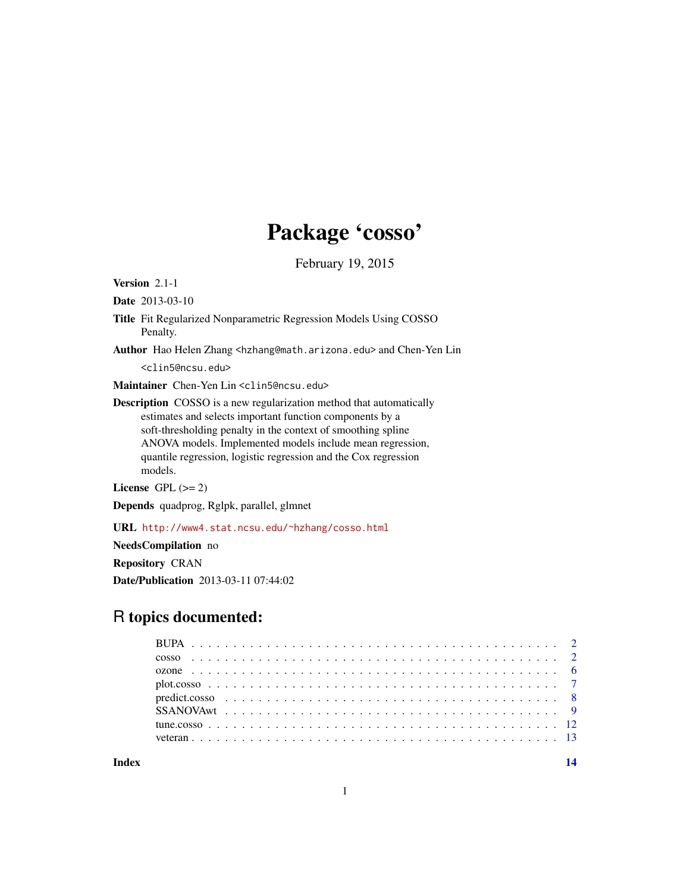## Package 'cosso'

February 19, 2015

Version 2.1-1

Date 2013-03-10

- Title Fit Regularized Nonparametric Regression Models Using COSSO Penalty.
- Author Hao Helen Zhang <hzhang@math.arizona.edu> and Chen-Yen Lin <clin5@ncsu.edu>

Maintainer Chen-Yen Lin <clin5@ncsu.edu>

Description COSSO is a new regularization method that automatically estimates and selects important function components by a soft-thresholding penalty in the context of smoothing spline ANOVA models. Implemented models include mean regression, quantile regression, logistic regression and the Cox regression models.

License GPL  $(>= 2)$ 

Depends quadprog, Rglpk, parallel, glmnet

URL <http://www4.stat.ncsu.edu/~hzhang/cosso.html>

NeedsCompilation no

Repository CRAN

Date/Publication 2013-03-11 07:44:02

### R topics documented:

**Index** 2008 **[14](#page-13-0)**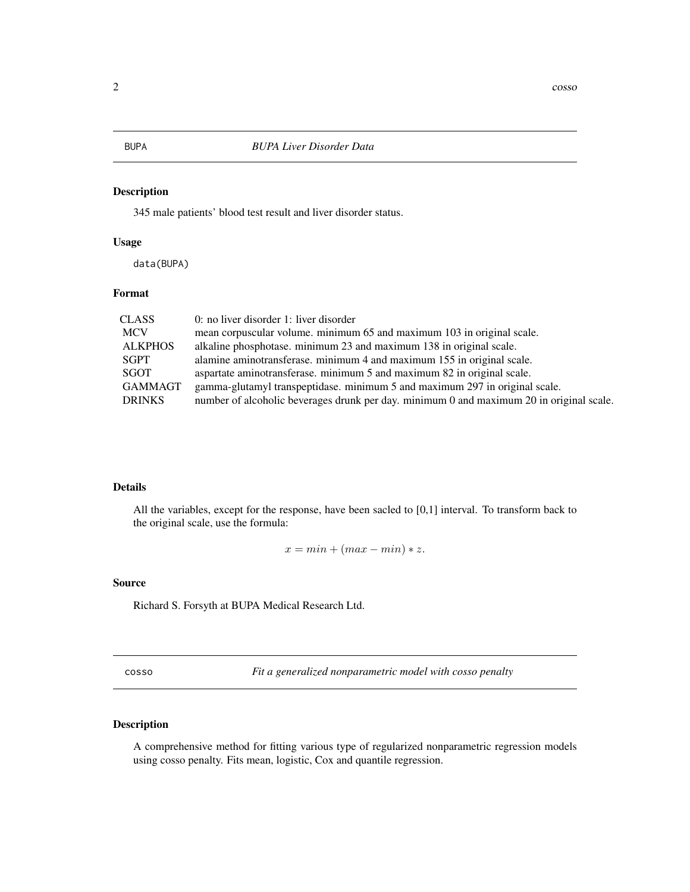<span id="page-1-0"></span>

345 male patients' blood test result and liver disorder status.

#### Usage

data(BUPA)

#### Format

| CLASS          | 0: no liver disorder 1: liver disorder                                                   |
|----------------|------------------------------------------------------------------------------------------|
| <b>MCV</b>     | mean corpuscular volume. minimum 65 and maximum 103 in original scale.                   |
| <b>ALKPHOS</b> | alkaline phosphotase. minimum 23 and maximum 138 in original scale.                      |
| SGPT           | alamine aminotransferase. minimum 4 and maximum 155 in original scale.                   |
| SGOT           | aspartate aminotransferase. minimum 5 and maximum 82 in original scale.                  |
| GAMMAGT        | gamma-glutamyl transpeptidase. minimum 5 and maximum 297 in original scale.              |
| <b>DRINKS</b>  | number of alcoholic beverages drunk per day. minimum 0 and maximum 20 in original scale. |

#### Details

All the variables, except for the response, have been sacled to [0,1] interval. To transform back to the original scale, use the formula:

 $x = min + (max - min) * z.$ 

#### Source

Richard S. Forsyth at BUPA Medical Research Ltd.

<span id="page-1-1"></span>cosso *Fit a generalized nonparametric model with cosso penalty*

#### Description

A comprehensive method for fitting various type of regularized nonparametric regression models using cosso penalty. Fits mean, logistic, Cox and quantile regression.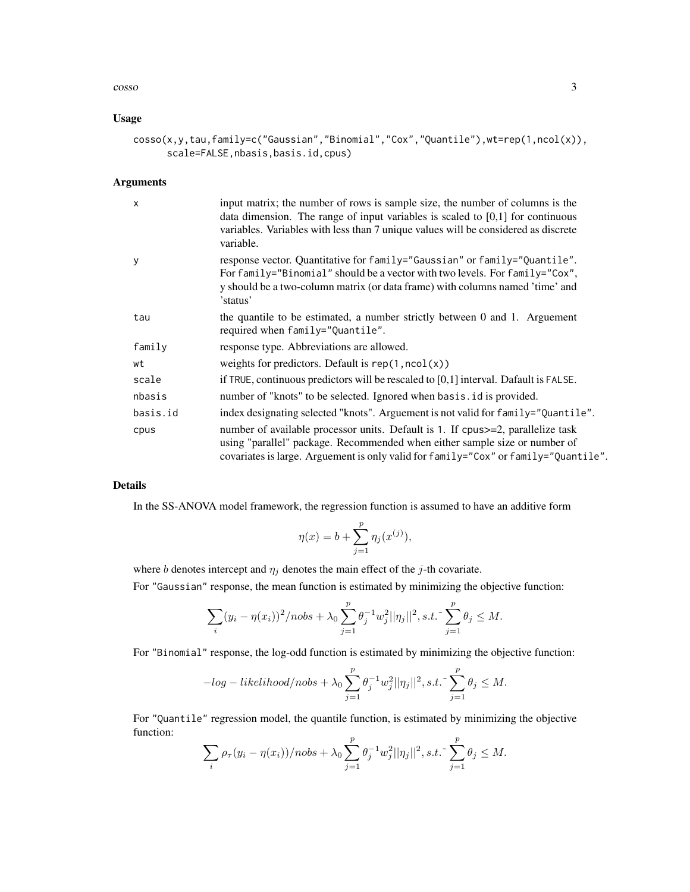#### $\cos 50$  3

#### Usage

```
cosso(x,y,tau,family=c("Gaussian","Binomial","Cox","Quantile"),wt=rep(1,ncol(x)),
      scale=FALSE,nbasis,basis.id,cpus)
```
#### Arguments

| $\mathsf{x}$ | input matrix; the number of rows is sample size, the number of columns is the<br>data dimension. The range of input variables is scaled to $[0,1]$ for continuous<br>variables. Variables with less than 7 unique values will be considered as discrete<br>variable. |
|--------------|----------------------------------------------------------------------------------------------------------------------------------------------------------------------------------------------------------------------------------------------------------------------|
| y            | response vector. Quantitative for family="Gaussian" or family="Quantile".<br>For family="Binomial" should be a vector with two levels. For family="Cox",<br>y should be a two-column matrix (or data frame) with columns named 'time' and<br>'status'                |
| tau          | the quantile to be estimated, a number strictly between 0 and 1. Arguement<br>required when family="Quantile".                                                                                                                                                       |
| family       | response type. Abbreviations are allowed.                                                                                                                                                                                                                            |
| wt           | weights for predictors. Default is $rep(1, ncol(x))$                                                                                                                                                                                                                 |
| scale        | if TRUE, continuous predictors will be rescaled to $[0,1]$ interval. Dafault is FALSE.                                                                                                                                                                               |
| nbasis       | number of "knots" to be selected. Ignored when basis id is provided.                                                                                                                                                                                                 |
| basis.id     | index designating selected "knots". Arguement is not valid for family="Quantile".                                                                                                                                                                                    |
| cpus         | number of available processor units. Default is 1. If cpus = 2, parallelize task<br>using "parallel" package. Recommended when either sample size or number of<br>covariates is large. Arguement is only valid for family="Cox" or family="Quantile".                |

#### Details

In the SS-ANOVA model framework, the regression function is assumed to have an additive form

$$
\eta(x) = b + \sum_{j=1}^{p} \eta_j(x^{(j)}),
$$

where b denotes intercept and  $\eta_j$  denotes the main effect of the j-th covariate.

For "Gaussian" response, the mean function is estimated by minimizing the objective function:

$$
\sum_{i} (y_i - \eta(x_i))^2 / nobs + \lambda_0 \sum_{j=1}^p \theta_j^{-1} w_j^2 ||\eta_j||^2, s.t. \sum_{j=1}^p \theta_j \le M.
$$

For "Binomial" response, the log-odd function is estimated by minimizing the objective function:

$$
-log-likelihood/nobs+\lambda_0\sum_{j=1}^p\theta_j^{-1}w_j^2||\eta_j||^2, s.t. \sim \sum_{j=1}^p\theta_j\leq M.
$$

For "Quantile" regression model, the quantile function, is estimated by minimizing the objective function:

$$
\sum_{i} \rho_{\tau}(y_i - \eta(x_i)) / nobs + \lambda_0 \sum_{j=1}^{p} \theta_j^{-1} w_j^{2} ||\eta_j||^2, s.t. \sum_{j=1}^{p} \theta_j \le M.
$$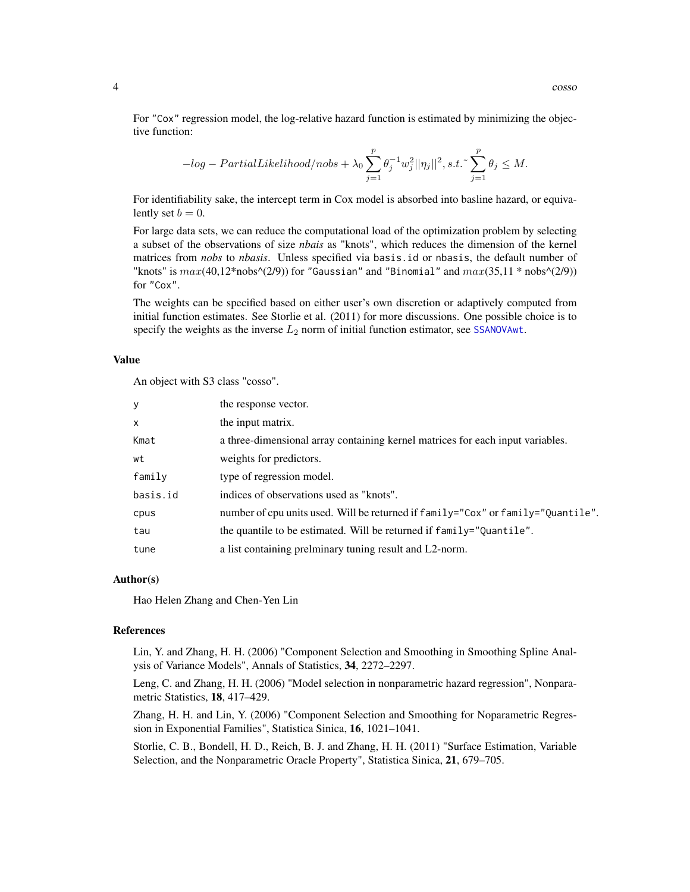<span id="page-3-0"></span>For "Cox" regression model, the log-relative hazard function is estimated by minimizing the objective function:

$$
-log-PartialLikelihood/nobs + \lambda_0 \sum_{j=1}^p \theta_j^{-1} w_j^2 ||\eta_j||^2, s.t. \sum_{j=1}^p \theta_j \le M.
$$

For identifiability sake, the intercept term in Cox model is absorbed into basline hazard, or equivalently set  $b = 0$ .

For large data sets, we can reduce the computational load of the optimization problem by selecting a subset of the observations of size *nbais* as "knots", which reduces the dimension of the kernel matrices from *nobs* to *nbasis*. Unless specified via basis.id or nbasis, the default number of "knots" is  $max(40,12*nobs\text{-}(2/9))$  for "Gaussian" and "Binomial" and  $max(35,11*nobs\text{-}(2/9))$ for "Cox".

The weights can be specified based on either user's own discretion or adaptively computed from initial function estimates. See Storlie et al. (2011) for more discussions. One possible choice is to specify the weights as the inverse  $L_2$  norm of initial function estimator, see [SSANOVAwt](#page-8-1).

#### Value

An object with S3 class "cosso".

| y            | the response vector.                                                             |
|--------------|----------------------------------------------------------------------------------|
|              |                                                                                  |
| $\mathsf{x}$ | the input matrix.                                                                |
| Kmat         | a three-dimensional array containing kernel matrices for each input variables.   |
| wt           | weights for predictors.                                                          |
| family       | type of regression model.                                                        |
| basis.id     | indices of observations used as "knots".                                         |
| cpus         | number of cpu units used. Will be returned if family="Cox" or family="Quantile". |
| tau          | the quantile to be estimated. Will be returned if family="Quantile".             |
| tune         | a list containing prelminary tuning result and L2-norm.                          |

#### Author(s)

Hao Helen Zhang and Chen-Yen Lin

#### References

Lin, Y. and Zhang, H. H. (2006) "Component Selection and Smoothing in Smoothing Spline Analysis of Variance Models", Annals of Statistics, 34, 2272–2297.

Leng, C. and Zhang, H. H. (2006) "Model selection in nonparametric hazard regression", Nonparametric Statistics, 18, 417–429.

Zhang, H. H. and Lin, Y. (2006) "Component Selection and Smoothing for Noparametric Regression in Exponential Families", Statistica Sinica, 16, 1021–1041.

Storlie, C. B., Bondell, H. D., Reich, B. J. and Zhang, H. H. (2011) "Surface Estimation, Variable Selection, and the Nonparametric Oracle Property", Statistica Sinica, 21, 679–705.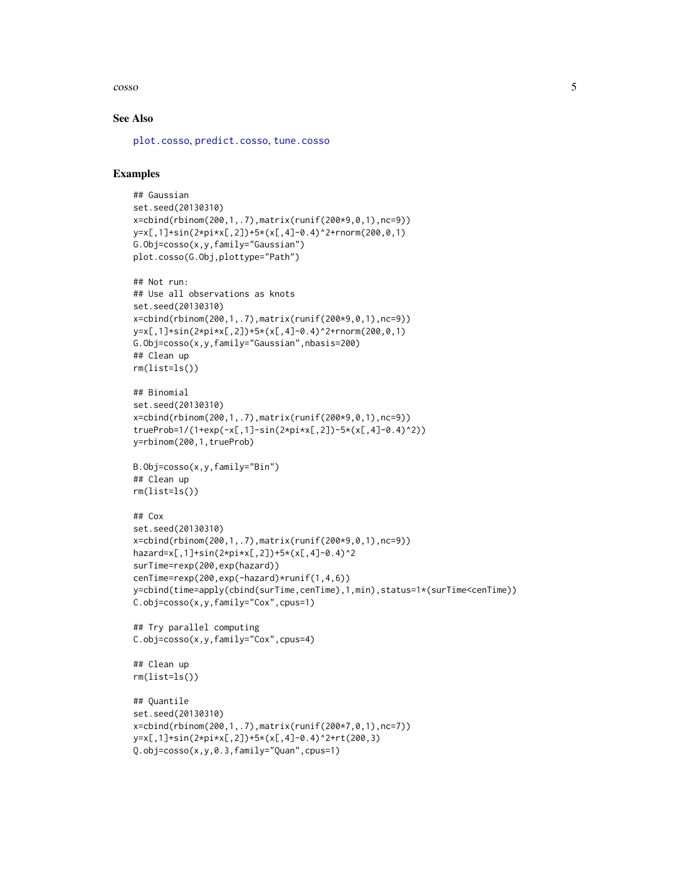#### <span id="page-4-0"></span> $\cos 5$

#### See Also

[plot.cosso](#page-6-1), [predict.cosso](#page-7-1), [tune.cosso](#page-11-1)

#### Examples

```
## Gaussian
set.seed(20130310)
x=cbind(rbinom(200,1,.7),matrix(runif(200*9,0,1),nc=9))
y=x[,1]+sin(2*pi*x[,2])+5*(x[,4]-0.4)^2+rnorm(200,0,1)
G.Obj=cosso(x,y,family="Gaussian")
plot.cosso(G.Obj,plottype="Path")
## Not run:
## Use all observations as knots
set.seed(20130310)
x=cbind(rbinom(200,1,.7),matrix(runif(200*9,0,1),nc=9))
y=x[,1]+sin(2*pi*x[,2])+5*(x[,4]-0.4)^2+rnorm(200,0,1)
G.Obj=cosso(x,y,family="Gaussian",nbasis=200)
## Clean up
rm(list=ls())
## Binomial
set.seed(20130310)
x=cbind(rbinom(200,1,.7),matrix(runif(200*9,0,1),nc=9))
trueProb=1/(1+exp(-x[,1]-sin(2*pi*x[,2])-5*(x[,4]-0.4)^2))
y=rbinom(200,1,trueProb)
B.Obj=cosso(x,y,family="Bin")
## Clean up
rm(list=ls())
## Cox
set.seed(20130310)
x=cbind(rbinom(200,1,.7),matrix(runif(200*9,0,1),nc=9))
hazard=x[,1]+sin(2*pi*x[,2])+5*(x[,4]-0.4)^2
surTime=rexp(200,exp(hazard))
cenTime=rexp(200,exp(-hazard)*runif(1,4,6))
y=cbind(time=apply(cbind(surTime,cenTime),1,min),status=1*(surTime<cenTime))
C.obj=cosso(x,y,family="Cox",cpus=1)
## Try parallel computing
C.obj=cosso(x,y,family="Cox",cpus=4)
## Clean up
rm(list=ls())
## Quantile
set.seed(20130310)
x=cbind(rbinom(200,1,.7),matrix(runif(200*7,0,1),nc=7))
y=x[,1]+sin(2*pi*x[,2])+5*(x[,4]-0.4)^2+rt(200,3)
Q.obj=cosso(x,y,0.3,family="Quan",cpus=1)
```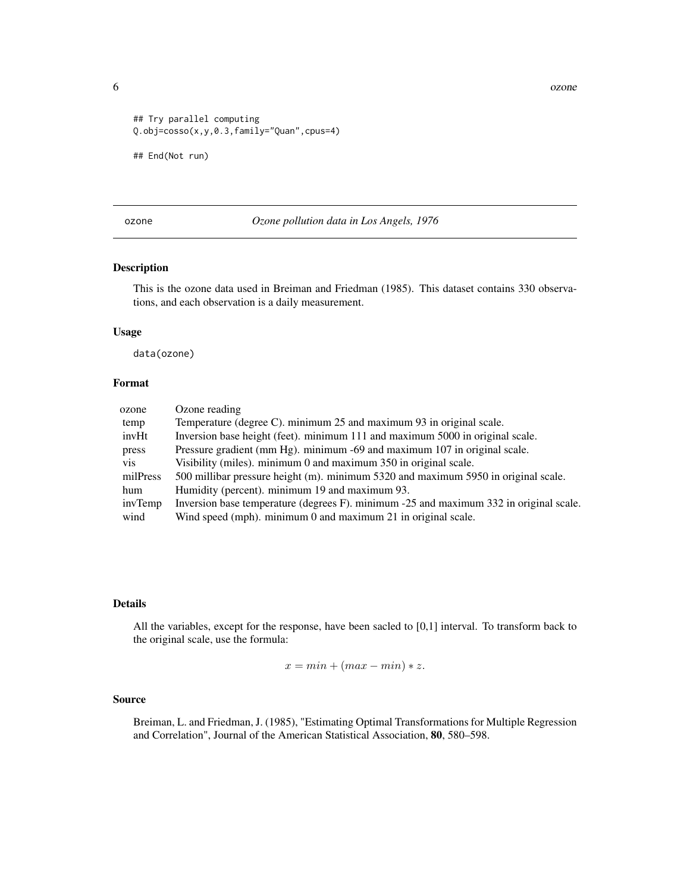<span id="page-5-0"></span>6 ozone

```
## Try parallel computing
Q.obj=cosso(x,y,0.3,family="Quan",cpus=4)
## End(Not run)
```
ozone *Ozone pollution data in Los Angels, 1976*

#### Description

This is the ozone data used in Breiman and Friedman (1985). This dataset contains 330 observations, and each observation is a daily measurement.

#### Usage

data(ozone)

#### Format

| Ozone reading                                                                          |
|----------------------------------------------------------------------------------------|
| Temperature (degree C). minimum 25 and maximum 93 in original scale.                   |
| Inversion base height (feet). minimum 111 and maximum 5000 in original scale.          |
| Pressure gradient (mm Hg). minimum -69 and maximum 107 in original scale.              |
| Visibility (miles), minimum 0 and maximum 350 in original scale.                       |
| 500 millibar pressure height (m). minimum 5320 and maximum 5950 in original scale.     |
| Humidity (percent). minimum 19 and maximum 93.                                         |
| Inversion base temperature (degrees F). minimum -25 and maximum 332 in original scale. |
| Wind speed (mph). minimum 0 and maximum 21 in original scale.                          |
|                                                                                        |

#### Details

All the variables, except for the response, have been sacled to [0,1] interval. To transform back to the original scale, use the formula:

$$
x = min + (max - min) * z.
$$

#### Source

Breiman, L. and Friedman, J. (1985), "Estimating Optimal Transformations for Multiple Regression and Correlation", Journal of the American Statistical Association, 80, 580–598.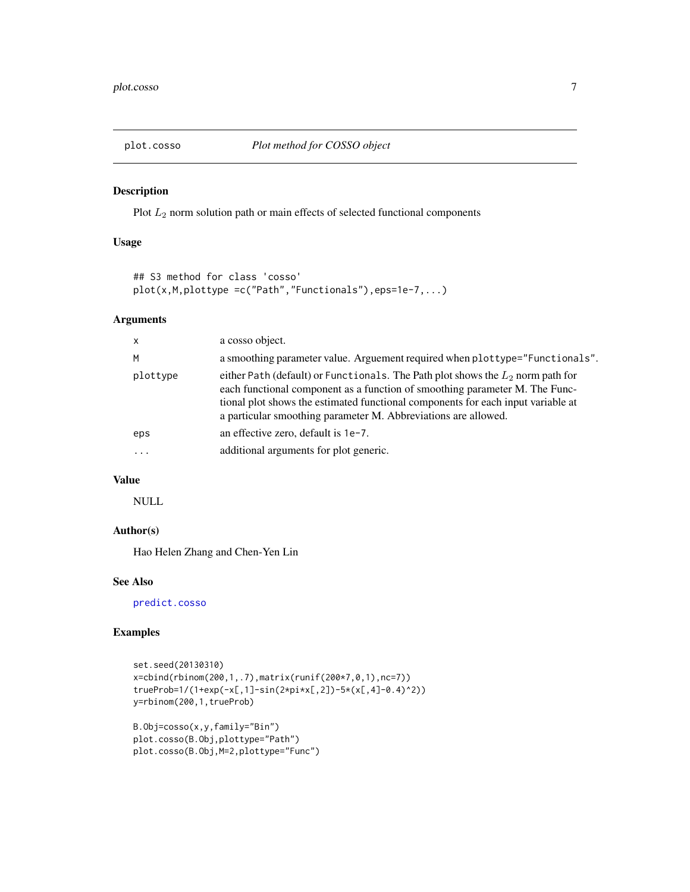<span id="page-6-1"></span><span id="page-6-0"></span>

Plot  $L_2$  norm solution path or main effects of selected functional components

#### Usage

```
## S3 method for class 'cosso'
plot(x,M,plottype =c("Path","Functionals"),eps=1e-7,...)
```
#### Arguments

| $\mathsf{x}$ | a cosso object.                                                                                                                                                                                                                                                                                                        |
|--------------|------------------------------------------------------------------------------------------------------------------------------------------------------------------------------------------------------------------------------------------------------------------------------------------------------------------------|
| M            | a smoothing parameter value. Arguement required when plottype="Functionals".                                                                                                                                                                                                                                           |
| plottype     | either Path (default) or Functionals. The Path plot shows the $L_2$ norm path for<br>each functional component as a function of smoothing parameter M. The Func-<br>tional plot shows the estimated functional components for each input variable at<br>a particular smoothing parameter M. Abbreviations are allowed. |
| eps          | an effective zero, default is 1e-7.                                                                                                                                                                                                                                                                                    |
|              | additional arguments for plot generic.                                                                                                                                                                                                                                                                                 |

#### Value

NULL

#### Author(s)

Hao Helen Zhang and Chen-Yen Lin

#### See Also

[predict.cosso](#page-7-1)

#### Examples

```
set.seed(20130310)
x=cbind(rbinom(200,1,.7),matrix(runif(200*7,0,1),nc=7))
trueProb=1/(1+exp(-x[,1]-sin(2*pi*x[,2])-5*(x[,4]-0.4)^2))
y=rbinom(200,1,trueProb)
```

```
B.Obj=cosso(x,y,family="Bin")
plot.cosso(B.Obj,plottype="Path")
plot.cosso(B.Obj,M=2,plottype="Func")
```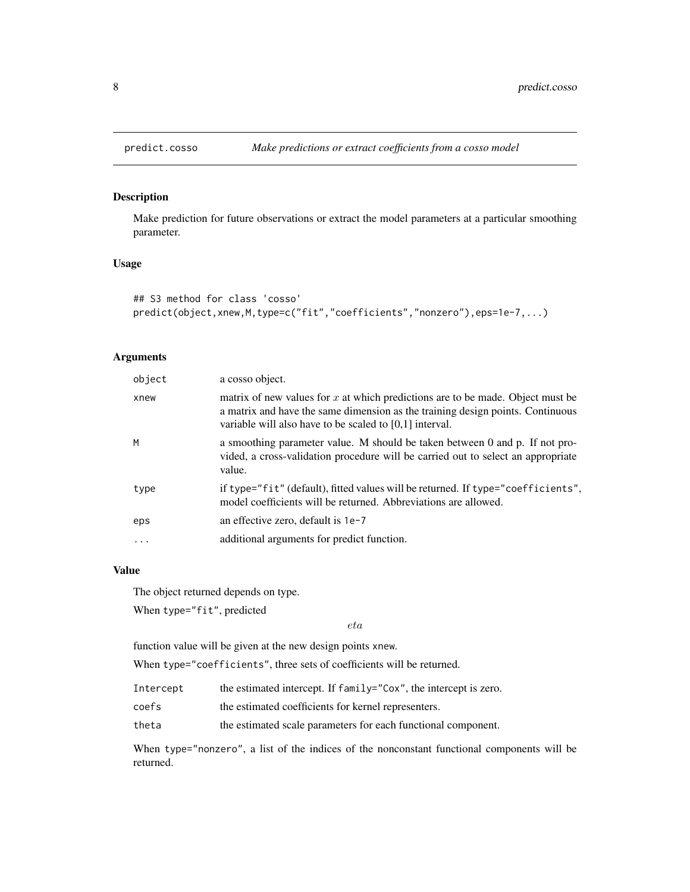Make prediction for future observations or extract the model parameters at a particular smoothing parameter.

#### Usage

```
## S3 method for class 'cosso'
predict(object,xnew,M,type=c("fit","coefficients","nonzero"),eps=1e-7,...)
```
#### Arguments

| object | a cosso object.                                                                                                                                                                                                                 |
|--------|---------------------------------------------------------------------------------------------------------------------------------------------------------------------------------------------------------------------------------|
| xnew   | matrix of new values for $x$ at which predictions are to be made. Object must be<br>a matrix and have the same dimension as the training design points. Continuous<br>variable will also have to be scaled to $[0,1]$ interval. |
| M      | a smoothing parameter value. M should be taken between 0 and p. If not pro-<br>vided, a cross-validation procedure will be carried out to select an appropriate<br>value.                                                       |
| type   | if type="fit" (default), fitted values will be returned. If type="coefficients",<br>model coefficients will be returned. Abbreviations are allowed.                                                                             |
| eps    | an effective zero, default is $1e-7$                                                                                                                                                                                            |
| .      | additional arguments for predict function.                                                                                                                                                                                      |
|        |                                                                                                                                                                                                                                 |

#### Value

The object returned depends on type.

When type="fit", predicted

eta

function value will be given at the new design points xnew.

When type="coefficients", three sets of coefficients will be returned.

| Intercept | the estimated intercept. If family="Cox", the intercept is zero. |  |  |
|-----------|------------------------------------------------------------------|--|--|
|-----------|------------------------------------------------------------------|--|--|

- coefs the estimated coefficients for kernel representers.
- theta the estimated scale parameters for each functional component.

When type="nonzero", a list of the indices of the nonconstant functional components will be returned.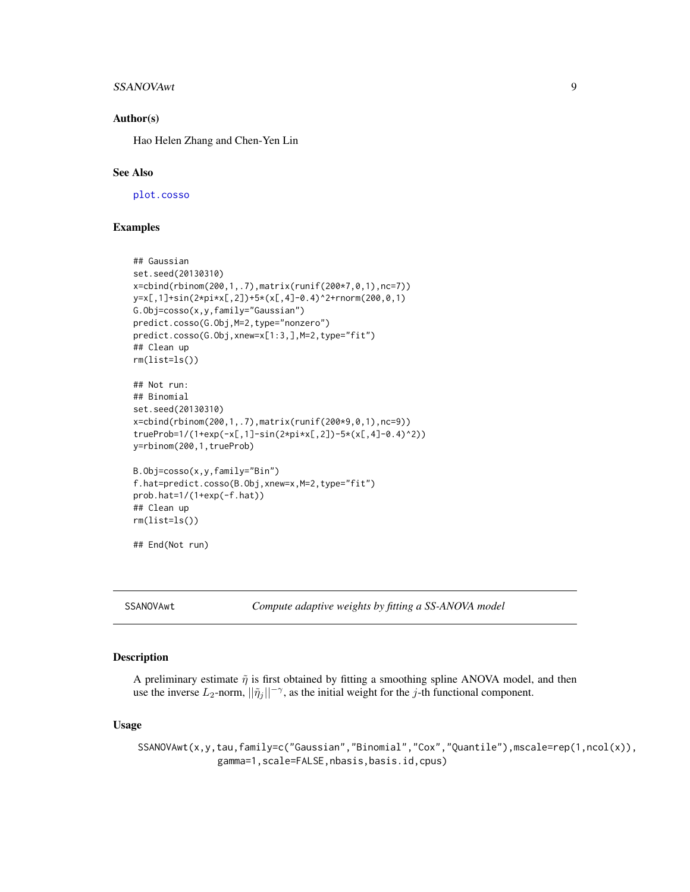#### <span id="page-8-0"></span>SSANOVAwt 9

#### Author(s)

Hao Helen Zhang and Chen-Yen Lin

#### See Also

[plot.cosso](#page-6-1)

#### Examples

```
## Gaussian
set.seed(20130310)
x=cbind(rbinom(200,1,.7),matrix(runif(200*7,0,1),nc=7))
y=x[,1]+sin(2*pi*x[,2])+5*(x[,4]-0.4)^2+rnorm(200,0,1)
G.Obj=cosso(x,y,family="Gaussian")
predict.cosso(G.Obj,M=2,type="nonzero")
predict.cosso(G.Obj,xnew=x[1:3,],M=2,type="fit")
## Clean up
rm(list=ls())
## Not run:
## Binomial
set.seed(20130310)
x=cbind(rbinom(200,1,.7),matrix(runif(200*9,0,1),nc=9))
trueProb=1/(1+exp(-x[,1]-sin(2*pi*x[,2])-5*(x[,4]-0.4)^2))
y=rbinom(200,1,trueProb)
B.Obj=cosso(x,y,family="Bin")
f.hat=predict.cosso(B.Obj,xnew=x,M=2,type="fit")
prob.hat=1/(1+exp(-f.hat))
## Clean up
rm(list=ls())
```
## End(Not run)

<span id="page-8-1"></span>SSANOVAwt *Compute adaptive weights by fitting a SS-ANOVA model*

#### Description

A preliminary estimate  $\tilde{\eta}$  is first obtained by fitting a smoothing spline ANOVA model, and then use the inverse  $L_2$ -norm,  $||\tilde{\eta}_j||^{-\gamma}$ , as the initial weight for the j-th functional component.

#### Usage

SSANOVAwt(x,y,tau,family=c("Gaussian","Binomial","Cox","Quantile"),mscale=rep(1,ncol(x)), gamma=1,scale=FALSE,nbasis,basis.id,cpus)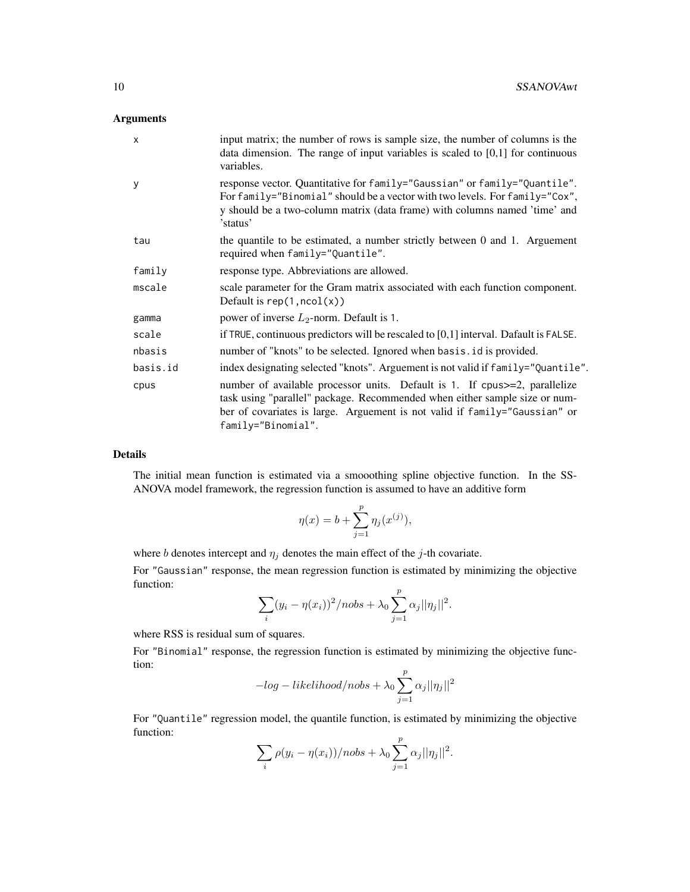#### Arguments

| $\mathsf{x}$ | input matrix; the number of rows is sample size, the number of columns is the<br>data dimension. The range of input variables is scaled to $[0,1]$ for continuous<br>variables.                                                                               |
|--------------|---------------------------------------------------------------------------------------------------------------------------------------------------------------------------------------------------------------------------------------------------------------|
| У            | response vector. Quantitative for family="Gaussian" or family="Quantile".<br>For family="Binomial" should be a vector with two levels. For family="Cox",<br>y should be a two-column matrix (data frame) with columns named 'time' and<br>'status'            |
| tau          | the quantile to be estimated, a number strictly between 0 and 1. Arguement<br>required when family="Quantile".                                                                                                                                                |
| family       | response type. Abbreviations are allowed.                                                                                                                                                                                                                     |
| mscale       | scale parameter for the Gram matrix associated with each function component.<br>Default is $rep(1, ncol(x))$                                                                                                                                                  |
| gamma        | power of inverse $L_2$ -norm. Default is 1.                                                                                                                                                                                                                   |
| scale        | if TRUE, continuous predictors will be rescaled to $[0,1]$ interval. Dafault is FALSE.                                                                                                                                                                        |
| nbasis       | number of "knots" to be selected. Ignored when basis id is provided.                                                                                                                                                                                          |
| basis.id     | index designating selected "knots". Arguement is not valid if family="Quantile".                                                                                                                                                                              |
| cpus         | number of available processor units. Default is 1. If cpus >=2, parallelize<br>task using "parallel" package. Recommended when either sample size or num-<br>ber of covariates is large. Arguement is not valid if family="Gaussian" or<br>family="Binomial". |

#### Details

The initial mean function is estimated via a smooothing spline objective function. In the SS-ANOVA model framework, the regression function is assumed to have an additive form

$$
\eta(x) = b + \sum_{j=1}^{p} \eta_j(x^{(j)}),
$$

where b denotes intercept and  $\eta_j$  denotes the main effect of the j-th covariate.

For "Gaussian" response, the mean regression function is estimated by minimizing the objective function:  $\boldsymbol{v}$ 

$$
\sum_i (y_i - \eta(x_i))^2 / nobs + \lambda_0 \sum_{j=1}^P \alpha_j ||\eta_j||^2.
$$

where RSS is residual sum of squares.

For "Binomial" response, the regression function is estimated by minimizing the objective function:

$$
-log-likelihood/nobs+\lambda_0\sum_{j=1}^{p}\alpha_j||\eta_j||^2
$$

For "Quantile" regression model, the quantile function, is estimated by minimizing the objective function:  $\boldsymbol{v}$ 

$$
\sum_{i} \rho(y_i - \eta(x_i))/nobs + \lambda_0 \sum_{j=1}^{P} \alpha_j ||\eta_j||^2.
$$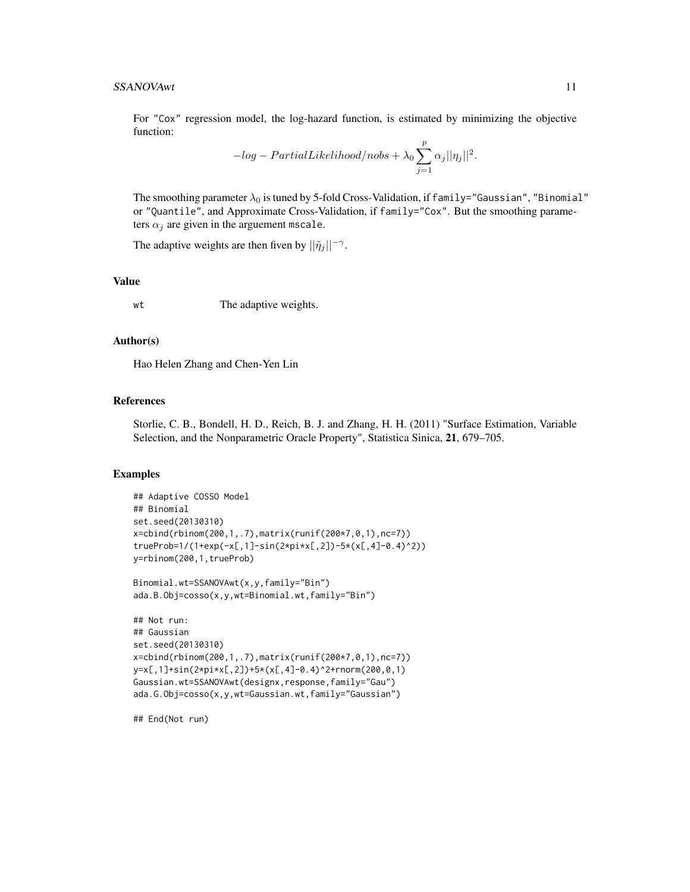For "Cox" regression model, the log-hazard function, is estimated by minimizing the objective function:

$$
-log-PartialLikelihood/nobs + \lambda_0 \sum_{j=1}^{p} \alpha_j ||\eta_j||^2.
$$

The smoothing parameter  $\lambda_0$  is tuned by 5-fold Cross-Validation, if family="Gaussian", "Binomial" or "Quantile", and Approximate Cross-Validation, if family="Cox". But the smoothing parameters  $\alpha_i$  are given in the arguement mscale.

The adaptive weights are then fiven by  $||\tilde{\eta}_j||^{-\gamma}$ .

#### Value

wt The adaptive weights.

#### Author(s)

Hao Helen Zhang and Chen-Yen Lin

#### References

Storlie, C. B., Bondell, H. D., Reich, B. J. and Zhang, H. H. (2011) "Surface Estimation, Variable Selection, and the Nonparametric Oracle Property", Statistica Sinica, 21, 679–705.

#### Examples

```
## Adaptive COSSO Model
## Binomial
set.seed(20130310)
x=cbind(rbinom(200,1,.7),matrix(runif(200*7,0,1),nc=7))
trueProb=1/(1+exp(-x[,1]-sin(2*pi*x[,2])-5*(x[,4]-0.4)^2))
y=rbinom(200,1,trueProb)
```

```
Binomial.wt=SSANOVAwt(x,y,family="Bin")
ada.B.Obj=cosso(x,y,wt=Binomial.wt,family="Bin")
```

```
## Not run:
## Gaussian
set.seed(20130310)
x=cbind(rbinom(200,1,.7),matrix(runif(200*7,0,1),nc=7))
y=x[,1]+sin(2*pi*x[,2])+5*(x[,4]-0.4)^2+rnorm(200,0,1)
Gaussian.wt=SSANOVAwt(designx,response,family="Gau")
ada.G.Obj=cosso(x,y,wt=Gaussian.wt,family="Gaussian")
```
## End(Not run)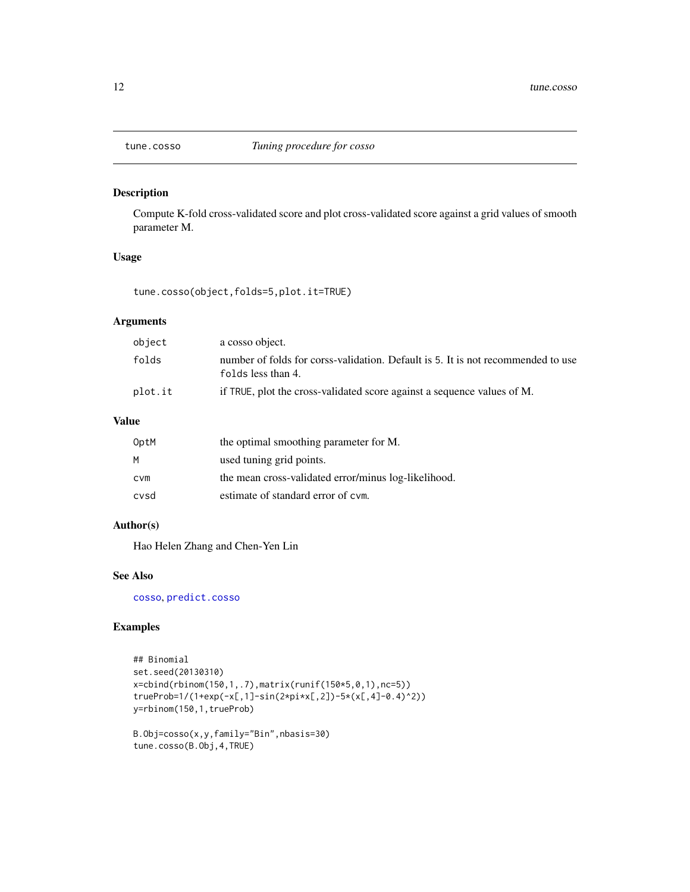<span id="page-11-1"></span><span id="page-11-0"></span>

Compute K-fold cross-validated score and plot cross-validated score against a grid values of smooth parameter M.

#### Usage

tune.cosso(object,folds=5,plot.it=TRUE)

#### Arguments

| object  | a cosso object.                                                                                        |
|---------|--------------------------------------------------------------------------------------------------------|
| folds   | number of folds for corss-validation. Default is 5. It is not recommended to use<br>folds less than 4. |
| plot.it | if TRUE, plot the cross-validated score against a sequence values of M.                                |

#### Value

| OptM       | the optimal smoothing parameter for M.               |
|------------|------------------------------------------------------|
| M          | used tuning grid points.                             |
| <b>CVM</b> | the mean cross-validated error/minus log-likelihood. |
| cvsd       | estimate of standard error of cym.                   |

#### Author(s)

Hao Helen Zhang and Chen-Yen Lin

#### See Also

[cosso](#page-1-1), [predict.cosso](#page-7-1)

#### Examples

```
## Binomial
set.seed(20130310)
x=cbind(rbinom(150,1,.7),matrix(runif(150*5,0,1),nc=5))
trueProb=1/(1+exp(-x[,1]-sin(2*pi*x[,2])-5*(x[,4]-0.4)^2))
y=rbinom(150,1,trueProb)
```

```
B.Obj=cosso(x,y,family="Bin",nbasis=30)
tune.cosso(B.Obj,4,TRUE)
```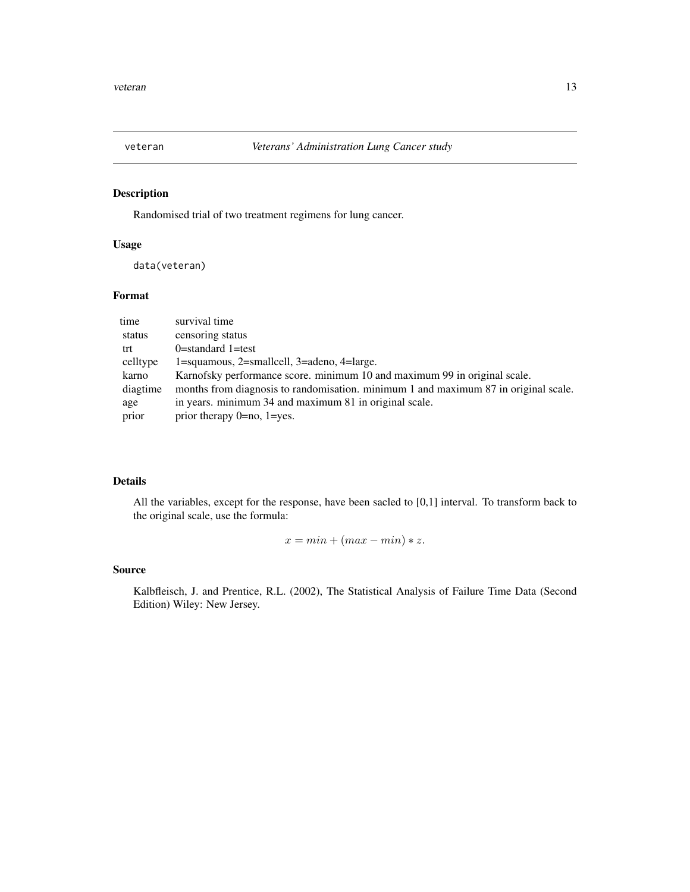<span id="page-12-0"></span>

Randomised trial of two treatment regimens for lung cancer.

#### Usage

data(veteran)

#### Format

| time     | survival time                                                                       |
|----------|-------------------------------------------------------------------------------------|
| status   | censoring status                                                                    |
| trt      | $0$ =standard 1=test                                                                |
| celltype | 1=squamous, 2=smallcell, 3=adeno, 4=large.                                          |
| karno    | Karnofsky performance score. minimum 10 and maximum 99 in original scale.           |
| diagtime | months from diagnosis to randomisation. minimum 1 and maximum 87 in original scale. |
| age      | in years. minimum 34 and maximum 81 in original scale.                              |
| prior    | prior therapy $0 = no$ , $1 = yes$ .                                                |

#### Details

All the variables, except for the response, have been sacled to [0,1] interval. To transform back to the original scale, use the formula:

 $x = min + (max - min) * z.$ 

#### Source

Kalbfleisch, J. and Prentice, R.L. (2002), The Statistical Analysis of Failure Time Data (Second Edition) Wiley: New Jersey.